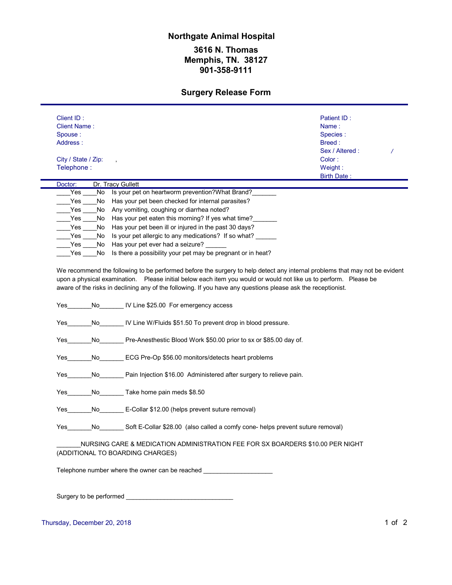## **3616 N. Thomas Memphis, TN. 38127 901-358-9111 Northgate Animal Hospital**

## **Surgery Release Form**

| <b>Client Name:</b><br>Spouse:<br>Address: |     |                                                                                                                                                                                                                                    |                 |  |
|--------------------------------------------|-----|------------------------------------------------------------------------------------------------------------------------------------------------------------------------------------------------------------------------------------|-----------------|--|
|                                            |     |                                                                                                                                                                                                                                    | Name:           |  |
|                                            |     |                                                                                                                                                                                                                                    | Species:        |  |
|                                            |     |                                                                                                                                                                                                                                    | Breed:          |  |
|                                            |     |                                                                                                                                                                                                                                    | Sex / Altered : |  |
| City / State / Zip:                        |     |                                                                                                                                                                                                                                    | Color:          |  |
| Telephone:                                 |     |                                                                                                                                                                                                                                    | Weight:         |  |
| Doctor:                                    |     | Dr. Tracy Gullett                                                                                                                                                                                                                  | Birth Date:     |  |
| Yes                                        | No  | Is your pet on heartworm prevention? What Brand?                                                                                                                                                                                   |                 |  |
| Yes                                        | No  | Has your pet been checked for internal parasites?                                                                                                                                                                                  |                 |  |
| Yes                                        | No  | Any vomiting, coughing or diarrhea noted?                                                                                                                                                                                          |                 |  |
| Yes                                        | No  | Has your pet eaten this morning? If yes what time?                                                                                                                                                                                 |                 |  |
| Yes                                        | No  | Has your pet been ill or injured in the past 30 days?                                                                                                                                                                              |                 |  |
| Yes                                        | No  | Is your pet allergic to any medications? If so what?                                                                                                                                                                               |                 |  |
| Yes                                        | No  | Has your pet ever had a seizure?                                                                                                                                                                                                   |                 |  |
| Yes                                        | No. | Is there a possibility your pet may be pregnant or in heat?                                                                                                                                                                        |                 |  |
|                                            |     | upon a physical examination.  Please initial below each item you would or would not like us to perform.  Please be<br>aware of the risks in declining any of the following. If you have any questions please ask the receptionist. |                 |  |
|                                            | No  | IV Line \$25.00 For emergency access                                                                                                                                                                                               |                 |  |
| Yes                                        |     |                                                                                                                                                                                                                                    |                 |  |
| Yes                                        | No  | IV Line W/Fluids \$51.50 To prevent drop in blood pressure.                                                                                                                                                                        |                 |  |
| Yes                                        | No  | Pre-Anesthestic Blood Work \$50.00 prior to sx or \$85.00 day of.                                                                                                                                                                  |                 |  |
| Yes                                        | No  | ECG Pre-Op \$56.00 monitors/detects heart problems                                                                                                                                                                                 |                 |  |
| Yes                                        | No  | Pain Injection \$16.00 Administered after surgery to relieve pain.                                                                                                                                                                 |                 |  |
| Yes                                        | No  | Take home pain meds \$8.50                                                                                                                                                                                                         |                 |  |
| Yes                                        | No  | E-Collar \$12.00 (helps prevent suture removal)                                                                                                                                                                                    |                 |  |
| Yes                                        | No  | Soft E-Collar \$28.00 (also called a comfy cone- helps prevent suture removal)                                                                                                                                                     |                 |  |
|                                            |     |                                                                                                                                                                                                                                    |                 |  |
|                                            |     | NURSING CARE & MEDICATION ADMINISTRATION FEE FOR SX BOARDERS \$10.00 PER NIGHT<br>(ADDITIONAL TO BOARDING CHARGES)                                                                                                                 |                 |  |

Thursday, December 20, 2018 1 of 2